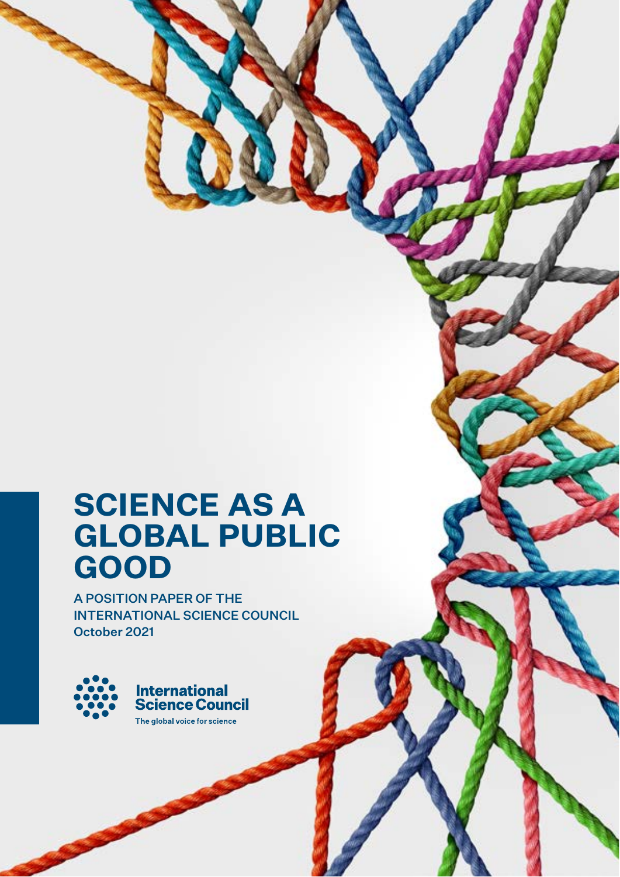# **SCIENCE AS A GLOBAL PUBLIC GOOD**

A POSITION PAPER OF THE INTERNATIONAL SCIENCE COUNCIL October 2021

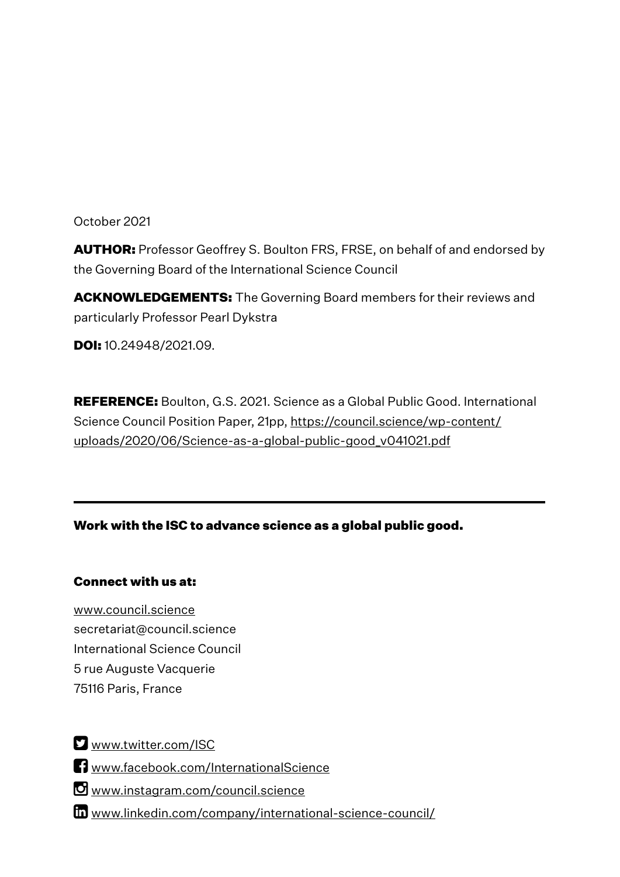October 2021

AUTHOR: Professor Geoffrey S. Boulton FRS, FRSE, on behalf of and endorsed by the Governing Board of the International Science Council

**ACKNOWLEDGEMENTS:** The Governing Board members for their reviews and particularly Professor Pearl Dykstra

**DOI:** 10.24948/2021.09.

REFERENCE: Boulton, G.S. 2021. Science as a Global Public Good. International Science Council Position Paper, 21pp, https://council.science/wp-content/ uploads/2020/06/Science-as-a-global-public-good\_v041021.pdf

Work with the ISC to advance science as a global public good.

## Connect with us at:

www.council.science secretariat@council.science International Science Council 5 rue Auguste Vacquerie 75116 Paris, France

**E** www.twitter.com/ISC

**T** www.facebook.com/InternationalScience

Www.instagram.com/council.science

www.linkedin.com/company/international-science-council/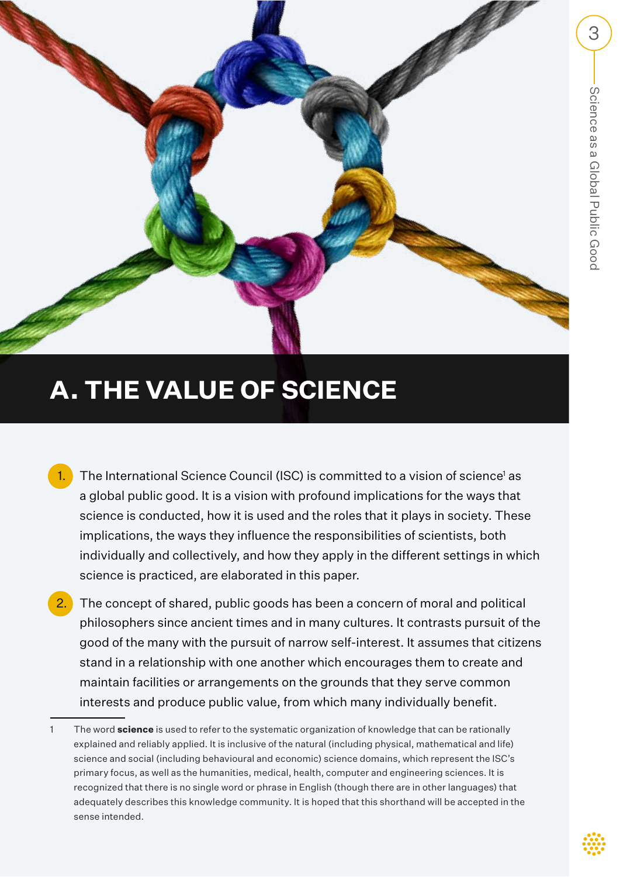

# **A. THE VALUE OF SCIENCE**

- 1. The International Science Council (ISC) is committed to a vision of science<sup>1</sup> as a global public good. It is a vision with profound implications for the ways that science is conducted, how it is used and the roles that it plays in society. These implications, the ways they influence the responsibilities of scientists, both individually and collectively, and how they apply in the different settings in which science is practiced, are elaborated in this paper.
- The concept of shared, public goods has been a concern of moral and political philosophers since ancient times and in many cultures. It contrasts pursuit of the good of the many with the pursuit of narrow self-interest. It assumes that citizens stand in a relationship with one another which encourages them to create and maintain facilities or arrangements on the grounds that they serve common interests and produce public value, from which many individually benefit.

<sup>1</sup> The word **science** is used to refer to the systematic organization of knowledge that can be rationally explained and reliably applied. It is inclusive of the natural (including physical, mathematical and life) science and social (including behavioural and economic) science domains, which represent the ISC's primary focus, as well as the humanities, medical, health, computer and engineering sciences. It is recognized that there is no single word or phrase in English (though there are in other languages) that adequately describes this knowledge community. It is hoped that this shorthand will be accepted in the sense intended.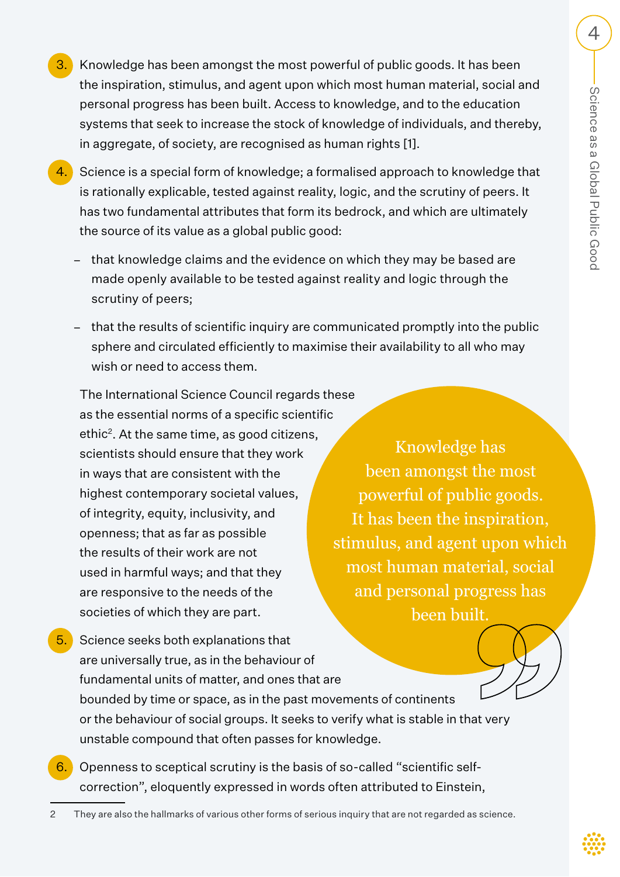- 3. Knowledge has been amongst the most powerful of public goods. It has been the inspiration, stimulus, and agent upon which most human material, social and personal progress has been built. Access to knowledge, and to the education systems that seek to increase the stock of knowledge of individuals, and thereby, in aggregate, of society, are recognised as human rights [1].
- 4. Science is a special form of knowledge; a formalised approach to knowledge that is rationally explicable, tested against reality, logic, and the scrutiny of peers. It has two fundamental attributes that form its bedrock, and which are ultimately the source of its value as a global public good:
	- − that knowledge claims and the evidence on which they may be based are made openly available to be tested against reality and logic through the scrutiny of peers;
	- − that the results of scientific inquiry are communicated promptly into the public sphere and circulated efficiently to maximise their availability to all who may wish or need to access them.

The International Science Council regards these as the essential norms of a specific scientific ethic<sup>2</sup>. At the same time, as good citizens, scientists should ensure that they work in ways that are consistent with the highest contemporary societal values, of integrity, equity, inclusivity, and openness; that as far as possible the results of their work are not used in harmful ways; and that they are responsive to the needs of the societies of which they are part.

Knowledge has been amongst the most powerful of public goods. It has been the inspiration, stimulus, and agent upon which most human material, social and personal progress has been built.

- 5. Science seeks both explanations that are universally true, as in the behaviour of fundamental units of matter, and ones that are bounded by time or space, as in the past movements of continents or the behaviour of social groups. It seeks to verify what is stable in that very unstable compound that often passes for knowledge.
- 6. Openness to sceptical scrutiny is the basis of so-called "scientific selfcorrection", eloquently expressed in words often attributed to Einstein,
- 2 They are also the hallmarks of various other forms of serious inquiry that are not regarded as science.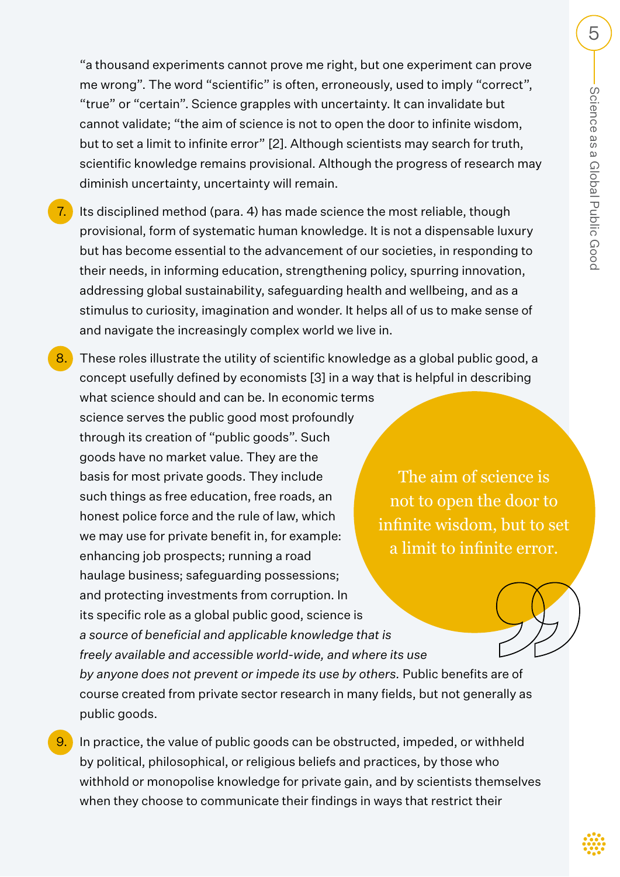"a thousand experiments cannot prove me right, but one experiment can prove me wrong". The word "scientific" is often, erroneously, used to imply "correct", "true" or "certain". Science grapples with uncertainty. It can invalidate but cannot validate; "the aim of science is not to open the door to infinite wisdom, but to set a limit to infinite error" [2]. Although scientists may search for truth, scientific knowledge remains provisional. Although the progress of research may diminish uncertainty, uncertainty will remain.

- 7. Its disciplined method (para. 4) has made science the most reliable, though provisional, form of systematic human knowledge. It is not a dispensable luxury but has become essential to the advancement of our societies, in responding to their needs, in informing education, strengthening policy, spurring innovation, addressing global sustainability, safeguarding health and wellbeing, and as a stimulus to curiosity, imagination and wonder. It helps all of us to make sense of and navigate the increasingly complex world we live in.
- 8. These roles illustrate the utility of scientific knowledge as a global public good, a concept usefully defined by economists [3] in a way that is helpful in describing what science should and can be. In economic terms science serves the public good most profoundly through its creation of "public goods". Such goods have no market value. They are the basis for most private goods. They include such things as free education, free roads, an honest police force and the rule of law, which we may use for private benefit in, for example: enhancing job prospects; running a road haulage business; safeguarding possessions; and protecting investments from corruption. In its specific role as a global public good, science is *a source of beneficial and applicable knowledge that is freely available and accessible world-wide, and where its use by anyone does not prevent or impede its use by others.* Public benefits are of course created from private sector research in many fields, but not generally as public goods. The aim of science is not to open the door to infinite wisdom, but to set a limit to infinite error.
- 9. In practice, the value of public goods can be obstructed, impeded, or withheld by political, philosophical, or religious beliefs and practices, by those who withhold or monopolise knowledge for private gain, and by scientists themselves when they choose to communicate their findings in ways that restrict their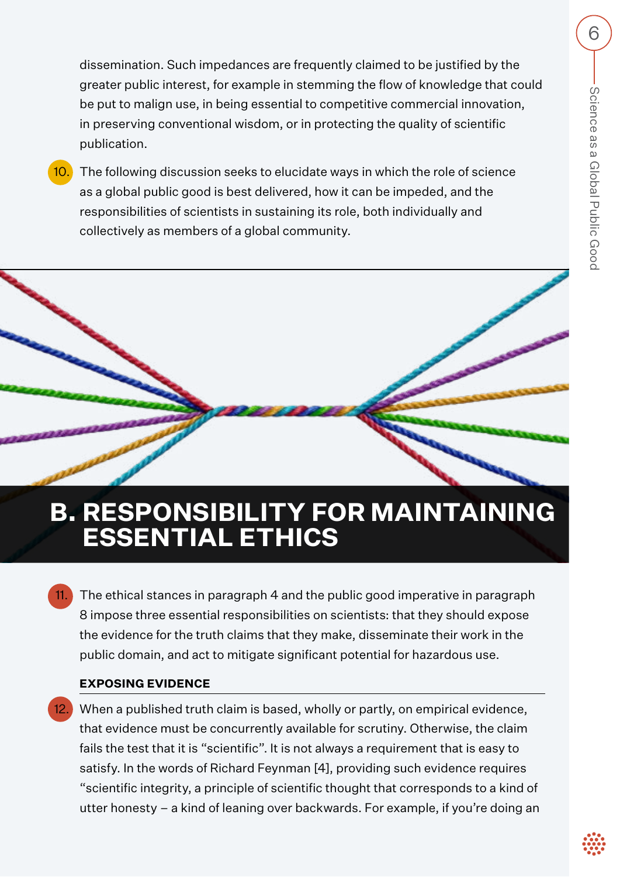dissemination. Such impedances are frequently claimed to be justified by the greater public interest, for example in stemming the flow of knowledge that could be put to malign use, in being essential to competitive commercial innovation, in preserving conventional wisdom, or in protecting the quality of scientific publication.

10. The following discussion seeks to elucidate ways in which the role of science as a global public good is best delivered, how it can be impeded, and the responsibilities of scientists in sustaining its role, both individually and collectively as members of a global community.

# **B. RESPONSIBILITY FOR MAINTAINING ESSENTIAL ETHICS**

 11. The ethical stances in paragraph 4 and the public good imperative in paragraph 8 impose three essential responsibilities on scientists: that they should expose the evidence for the truth claims that they make, disseminate their work in the public domain, and act to mitigate significant potential for hazardous use.

## **EXPOSING EVIDENCE**

 12. When a published truth claim is based, wholly or partly, on empirical evidence, that evidence must be concurrently available for scrutiny. Otherwise, the claim fails the test that it is "scientific". It is not always a requirement that is easy to satisfy. In the words of Richard Feynman [4], providing such evidence requires "scientific integrity, a principle of scientific thought that corresponds to a kind of utter honesty – a kind of leaning over backwards. For example, if you're doing an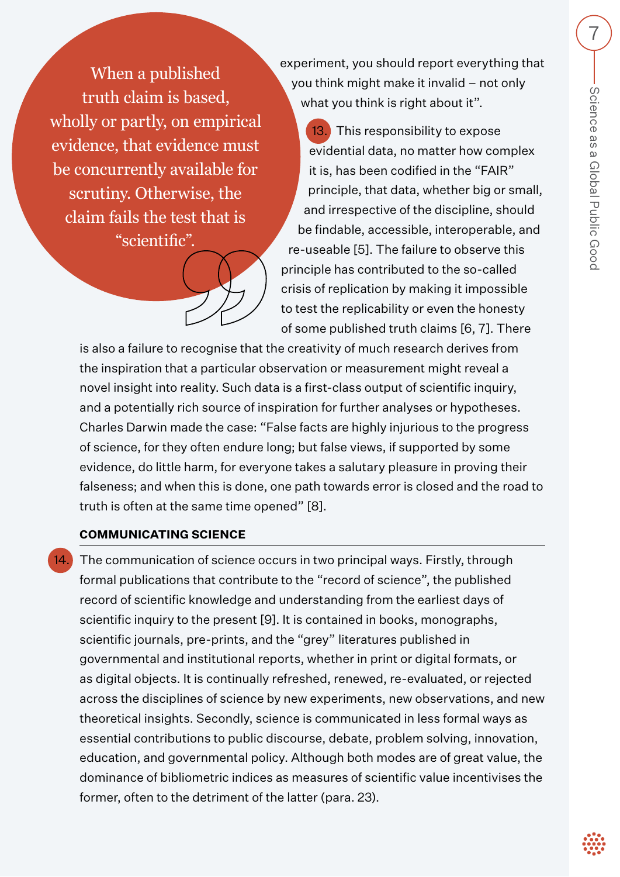When a published truth claim is based, wholly or partly, on empirical evidence, that evidence must be concurrently available for scrutiny. Otherwise, the claim fails the test that is "scientific".



experiment, you should report everything that you think might make it invalid – not only what you think is right about it".

13. This responsibility to expose evidential data, no matter how complex it is, has been codified in the "FAIR" principle, that data, whether big or small, and irrespective of the discipline, should be findable, accessible, interoperable, and re-useable [5]. The failure to observe this principle has contributed to the so-called crisis of replication by making it impossible to test the replicability or even the honesty of some published truth claims [6, 7]. There

is also a failure to recognise that the creativity of much research derives from the inspiration that a particular observation or measurement might reveal a novel insight into reality. Such data is a first-class output of scientific inquiry, and a potentially rich source of inspiration for further analyses or hypotheses. Charles Darwin made the case: "False facts are highly injurious to the progress of science, for they often endure long; but false views, if supported by some evidence, do little harm, for everyone takes a salutary pleasure in proving their falseness; and when this is done, one path towards error is closed and the road to truth is often at the same time opened" [8].

## **COMMUNICATING SCIENCE**

The communication of science occurs in two principal ways. Firstly, through formal publications that contribute to the "record of science", the published record of scientific knowledge and understanding from the earliest days of scientific inquiry to the present [9]. It is contained in books, monographs, scientific journals, pre-prints, and the "grey" literatures published in governmental and institutional reports, whether in print or digital formats, or as digital objects. It is continually refreshed, renewed, re-evaluated, or rejected across the disciplines of science by new experiments, new observations, and new theoretical insights. Secondly, science is communicated in less formal ways as essential contributions to public discourse, debate, problem solving, innovation, education, and governmental policy. Although both modes are of great value, the dominance of bibliometric indices as measures of scientific value incentivises the former, often to the detriment of the latter (para. 23).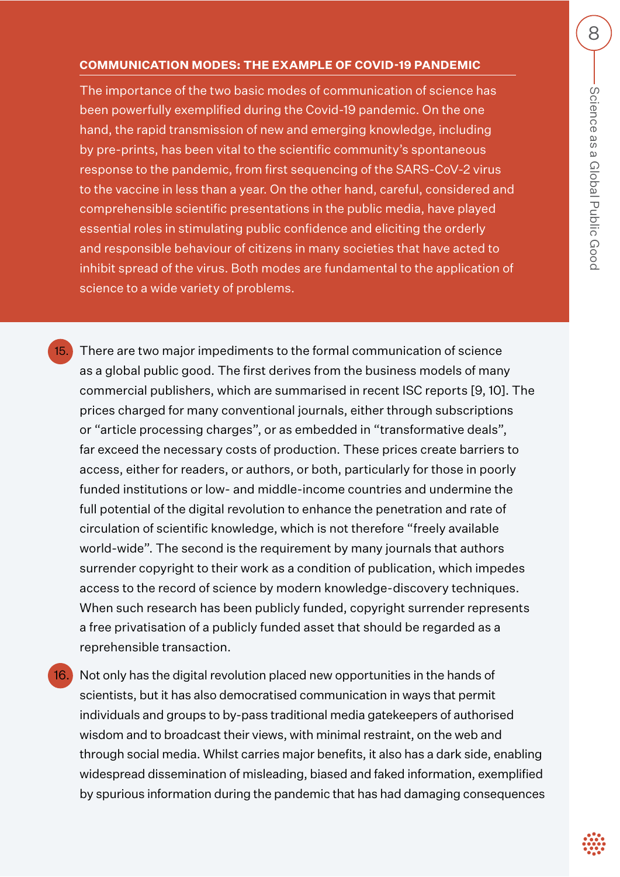#### **COMMUNICATION MODES: THE EXAMPLE OF COVID-19 PANDEMIC**

The importance of the two basic modes of communication of science has been powerfully exemplified during the Covid-19 pandemic. On the one hand, the rapid transmission of new and emerging knowledge, including by pre-prints, has been vital to the scientific community's spontaneous response to the pandemic, from first sequencing of the SARS-CoV-2 virus to the vaccine in less than a year. On the other hand, careful, considered and comprehensible scientific presentations in the public media, have played essential roles in stimulating public confidence and eliciting the orderly and responsible behaviour of citizens in many societies that have acted to inhibit spread of the virus. Both modes are fundamental to the application of science to a wide variety of problems.

There are two major impediments to the formal communication of science as a global public good. The first derives from the business models of many commercial publishers, which are summarised in recent ISC reports [9, 10]. The prices charged for many conventional journals, either through subscriptions or "article processing charges", or as embedded in "transformative deals", far exceed the necessary costs of production. These prices create barriers to access, either for readers, or authors, or both, particularly for those in poorly funded institutions or low- and middle-income countries and undermine the full potential of the digital revolution to enhance the penetration and rate of circulation of scientific knowledge, which is not therefore "freely available world-wide". The second is the requirement by many journals that authors surrender copyright to their work as a condition of publication, which impedes access to the record of science by modern knowledge-discovery techniques. When such research has been publicly funded, copyright surrender represents a free privatisation of a publicly funded asset that should be regarded as a reprehensible transaction.

16. Not only has the digital revolution placed new opportunities in the hands of scientists, but it has also democratised communication in ways that permit individuals and groups to by-pass traditional media gatekeepers of authorised wisdom and to broadcast their views, with minimal restraint, on the web and through social media. Whilst carries major benefits, it also has a dark side, enabling widespread dissemination of misleading, biased and faked information, exemplified by spurious information during the pandemic that has had damaging consequences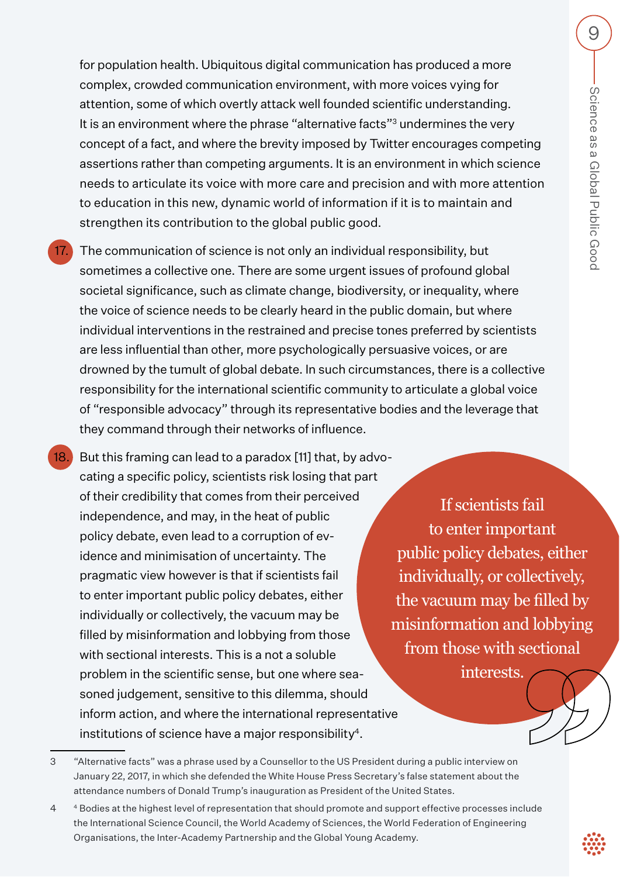for population health. Ubiquitous digital communication has produced a more complex, crowded communication environment, with more voices vying for attention, some of which overtly attack well founded scientific understanding. It is an environment where the phrase "alternative facts"<sup>3</sup> undermines the very concept of a fact, and where the brevity imposed by Twitter encourages competing assertions rather than competing arguments. It is an environment in which science needs to articulate its voice with more care and precision and with more attention to education in this new, dynamic world of information if it is to maintain and strengthen its contribution to the global public good.

The communication of science is not only an individual responsibility, but sometimes a collective one. There are some urgent issues of profound global societal significance, such as climate change, biodiversity, or inequality, where the voice of science needs to be clearly heard in the public domain, but where individual interventions in the restrained and precise tones preferred by scientists are less influential than other, more psychologically persuasive voices, or are drowned by the tumult of global debate. In such circumstances, there is a collective responsibility for the international scientific community to articulate a global voice of "responsible advocacy" through its representative bodies and the leverage that they command through their networks of influence.

18. But this framing can lead to a paradox [11] that, by advocating a specific policy, scientists risk losing that part of their credibility that comes from their perceived independence, and may, in the heat of public policy debate, even lead to a corruption of evidence and minimisation of uncertainty. The pragmatic view however is that if scientists fail to enter important public policy debates, either individually or collectively, the vacuum may be filled by misinformation and lobbying from those with sectional interests. This is a not a soluble problem in the scientific sense, but one where seasoned judgement, sensitive to this dilemma, should inform action, and where the international representative institutions of science have a major responsibility4.

If scientists fail to enter important public policy debates, either individually, or collectively, the vacuum may be filled by misinformation and lobbying from those with sectional interests.

<sup>3 &</sup>quot;Alternative facts" was a phrase used by a Counsellor to the US President during a public interview on January 22, 2017, in which she defended the White House Press Secretary's false statement about the attendance numbers of Donald Trump's inauguration as President of the United States.

<sup>4 4</sup> Bodies at the highest level of representation that should promote and support effective processes include the International Science Council, the World Academy of Sciences, the World Federation of Engineering Organisations, the Inter-Academy Partnership and the Global Young Academy.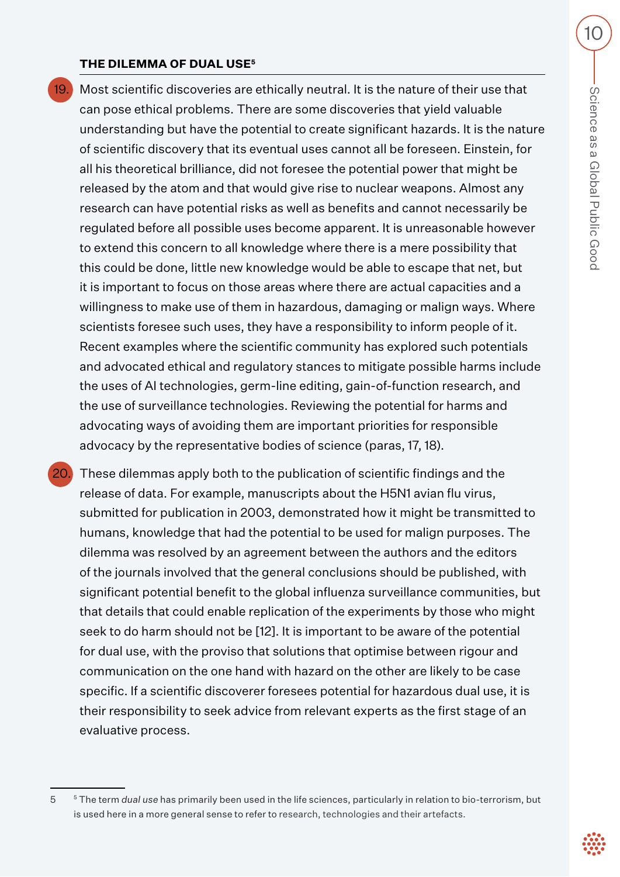#### **THE DILEMMA OF DUAL USE5**

 19. Most scientific discoveries are ethically neutral. It is the nature of their use that can pose ethical problems. There are some discoveries that yield valuable understanding but have the potential to create significant hazards. It is the nature of scientific discovery that its eventual uses cannot all be foreseen. Einstein, for all his theoretical brilliance, did not foresee the potential power that might be released by the atom and that would give rise to nuclear weapons. Almost any research can have potential risks as well as benefits and cannot necessarily be regulated before all possible uses become apparent. It is unreasonable however to extend this concern to all knowledge where there is a mere possibility that this could be done, little new knowledge would be able to escape that net, but it is important to focus on those areas where there are actual capacities and a willingness to make use of them in hazardous, damaging or malign ways. Where scientists foresee such uses, they have a responsibility to inform people of it. Recent examples where the scientific community has explored such potentials and advocated ethical and regulatory stances to mitigate possible harms include the uses of AI technologies, germ-line editing, gain-of-function research, and the use of surveillance technologies. Reviewing the potential for harms and advocating ways of avoiding them are important priorities for responsible advocacy by the representative bodies of science (paras, 17, 18).

 20. These dilemmas apply both to the publication of scientific findings and the release of data. For example, manuscripts about the H5N1 avian flu virus, submitted for publication in 2003, demonstrated how it might be transmitted to humans, knowledge that had the potential to be used for malign purposes. The dilemma was resolved by an agreement between the authors and the editors of the journals involved that the general conclusions should be published, with significant potential benefit to the global influenza surveillance communities, but that details that could enable replication of the experiments by those who might seek to do harm should not be [12]. It is important to be aware of the potential for dual use, with the proviso that solutions that optimise between rigour and communication on the one hand with hazard on the other are likely to be case specific. If a scientific discoverer foresees potential for hazardous dual use, it is their responsibility to seek advice from relevant experts as the first stage of an evaluative process.

<sup>5 5</sup> The term *dual use* has primarily been used in the life sciences, particularly in relation to bio-terrorism, but is used here in a more general sense to refer to research, technologies and their artefacts.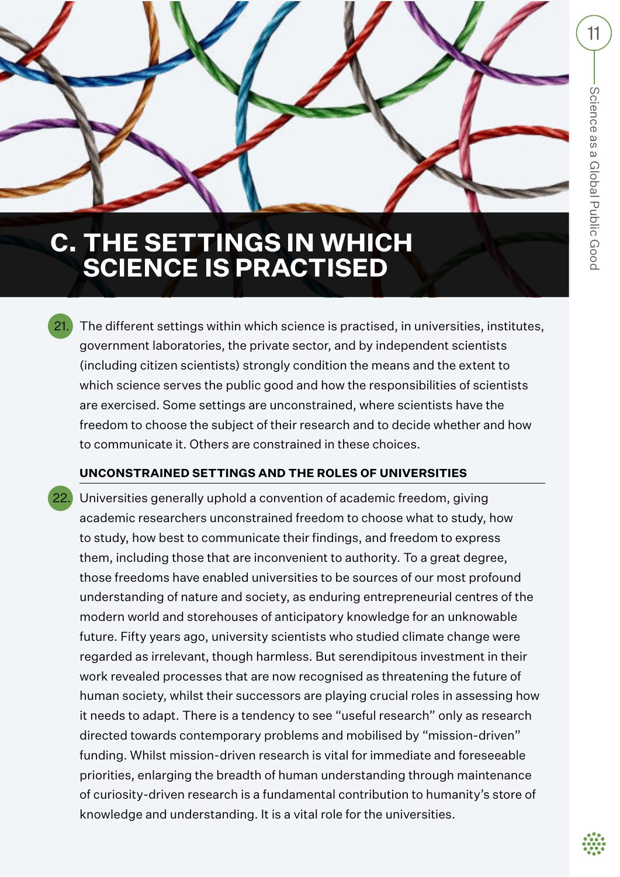# **C. THE SETTINGS IN WHICH SCIENCE IS PRACTISED**

 21. The different settings within which science is practised, in universities, institutes, government laboratories, the private sector, and by independent scientists (including citizen scientists) strongly condition the means and the extent to which science serves the public good and how the responsibilities of scientists are exercised. Some settings are unconstrained, where scientists have the freedom to choose the subject of their research and to decide whether and how to communicate it. Others are constrained in these choices.

# **UNCONSTRAINED SETTINGS AND THE ROLES OF UNIVERSITIES**

Universities generally uphold a convention of academic freedom, giving academic researchers unconstrained freedom to choose what to study, how to study, how best to communicate their findings, and freedom to express them, including those that are inconvenient to authority. To a great degree, those freedoms have enabled universities to be sources of our most profound understanding of nature and society, as enduring entrepreneurial centres of the modern world and storehouses of anticipatory knowledge for an unknowable future. Fifty years ago, university scientists who studied climate change were regarded as irrelevant, though harmless. But serendipitous investment in their work revealed processes that are now recognised as threatening the future of human society, whilst their successors are playing crucial roles in assessing how it needs to adapt. There is a tendency to see "useful research" only as research directed towards contemporary problems and mobilised by "mission-driven" funding. Whilst mission-driven research is vital for immediate and foreseeable priorities, enlarging the breadth of human understanding through maintenance of curiosity-driven research is a fundamental contribution to humanity's store of knowledge and understanding. It is a vital role for the universities.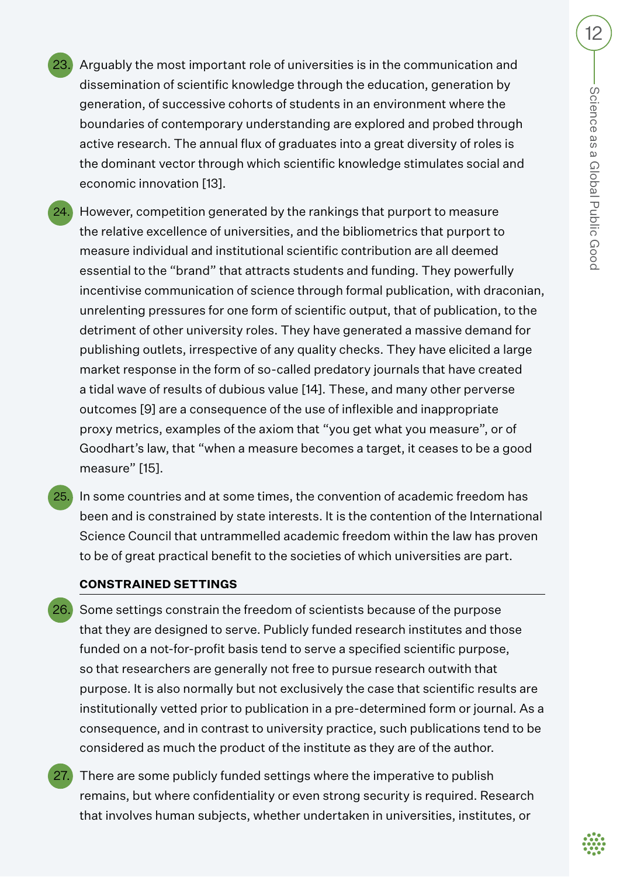- 23. Arguably the most important role of universities is in the communication and dissemination of scientific knowledge through the education, generation by generation, of successive cohorts of students in an environment where the boundaries of contemporary understanding are explored and probed through active research. The annual flux of graduates into a great diversity of roles is the dominant vector through which scientific knowledge stimulates social and economic innovation [13].
- 24. However, competition generated by the rankings that purport to measure the relative excellence of universities, and the bibliometrics that purport to measure individual and institutional scientific contribution are all deemed essential to the "brand" that attracts students and funding. They powerfully incentivise communication of science through formal publication, with draconian, unrelenting pressures for one form of scientific output, that of publication, to the detriment of other university roles. They have generated a massive demand for publishing outlets, irrespective of any quality checks. They have elicited a large market response in the form of so-called predatory journals that have created a tidal wave of results of dubious value [14]. These, and many other perverse outcomes [9] are a consequence of the use of inflexible and inappropriate proxy metrics, examples of the axiom that "you get what you measure", or of Goodhart's law, that "when a measure becomes a target, it ceases to be a good measure" [15].
- 25. In some countries and at some times, the convention of academic freedom has been and is constrained by state interests. It is the contention of the International Science Council that untrammelled academic freedom within the law has proven to be of great practical benefit to the societies of which universities are part.

#### **CONSTRAINED SETTINGS**

- 26. Some settings constrain the freedom of scientists because of the purpose that they are designed to serve. Publicly funded research institutes and those funded on a not-for-profit basis tend to serve a specified scientific purpose, so that researchers are generally not free to pursue research outwith that purpose. It is also normally but not exclusively the case that scientific results are institutionally vetted prior to publication in a pre-determined form or journal. As a consequence, and in contrast to university practice, such publications tend to be considered as much the product of the institute as they are of the author.
- There are some publicly funded settings where the imperative to publish remains, but where confidentiality or even strong security is required. Research that involves human subjects, whether undertaken in universities, institutes, or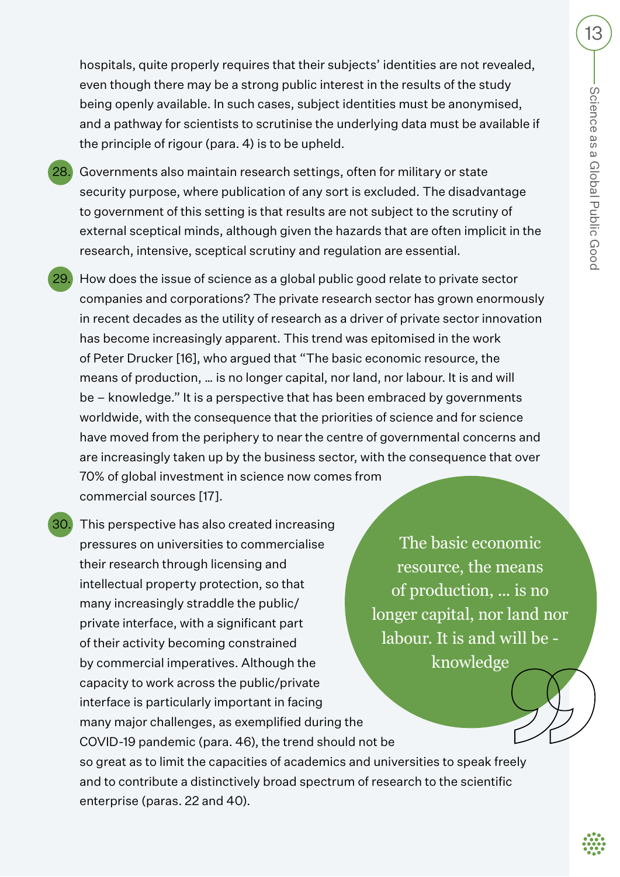hospitals, quite properly requires that their subjects' identities are not revealed, even though there may be a strong public interest in the results of the study being openly available. In such cases, subject identities must be anonymised, and a pathway for scientists to scrutinise the underlying data must be available if the principle of rigour (para. 4) is to be upheld.

- 28. Governments also maintain research settings, often for military or state security purpose, where publication of any sort is excluded. The disadvantage to government of this setting is that results are not subject to the scrutiny of external sceptical minds, although given the hazards that are often implicit in the research, intensive, sceptical scrutiny and regulation are essential.
- 29. How does the issue of science as a global public good relate to private sector companies and corporations? The private research sector has grown enormously in recent decades as the utility of research as a driver of private sector innovation has become increasingly apparent. This trend was epitomised in the work of Peter Drucker [16], who argued that "The basic economic resource, the means of production, … is no longer capital, nor land, nor labour. It is and will be – knowledge." It is a perspective that has been embraced by governments worldwide, with the consequence that the priorities of science and for science have moved from the periphery to near the centre of governmental concerns and are increasingly taken up by the business sector, with the consequence that over 70% of global investment in science now comes from commercial sources [17].
- 30. This perspective has also created increasing pressures on universities to commercialise their research through licensing and intellectual property protection, so that many increasingly straddle the public/ private interface, with a significant part of their activity becoming constrained by commercial imperatives. Although the capacity to work across the public/private interface is particularly important in facing many major challenges, as exemplified during the COVID-19 pandemic (para. 46), the trend should not be so great as to limit the capacities of academics and universities to speak freely and to contribute a distinctively broad spectrum of research to the scientific enterprise (paras. 22 and 40).

The basic economic resource, the means of production, ... is no longer capital, nor land nor labour. It is and will be knowledge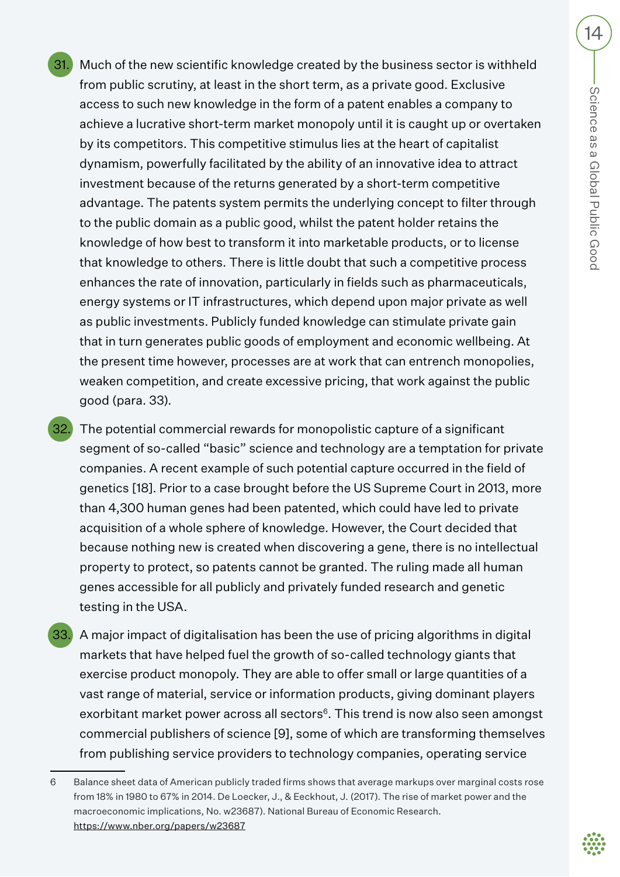- 31. Much of the new scientific knowledge created by the business sector is withheld from public scrutiny, at least in the short term, as a private good. Exclusive access to such new knowledge in the form of a patent enables a company to achieve a lucrative short-term market monopoly until it is caught up or overtaken by its competitors. This competitive stimulus lies at the heart of capitalist dynamism, powerfully facilitated by the ability of an innovative idea to attract investment because of the returns generated by a short-term competitive advantage. The patents system permits the underlying concept to filter through to the public domain as a public good, whilst the patent holder retains the knowledge of how best to transform it into marketable products, or to license that knowledge to others. There is little doubt that such a competitive process enhances the rate of innovation, particularly in fields such as pharmaceuticals, energy systems or IT infrastructures, which depend upon major private as well as public investments. Publicly funded knowledge can stimulate private gain that in turn generates public goods of employment and economic wellbeing. At the present time however, processes are at work that can entrench monopolies, weaken competition, and create excessive pricing, that work against the public good (para. 33).
- 32. The potential commercial rewards for monopolistic capture of a significant segment of so-called "basic" science and technology are a temptation for private companies. A recent example of such potential capture occurred in the field of genetics [18]. Prior to a case brought before the US Supreme Court in 2013, more than 4,300 human genes had been patented, which could have led to private acquisition of a whole sphere of knowledge. However, the Court decided that because nothing new is created when discovering a gene, there is no intellectual property to protect, so patents cannot be granted. The ruling made all human genes accessible for all publicly and privately funded research and genetic testing in the USA.
- 33. A major impact of digitalisation has been the use of pricing algorithms in digital markets that have helped fuel the growth of so-called technology giants that exercise product monopoly. They are able to offer small or large quantities of a vast range of material, service or information products, giving dominant players exorbitant market power across all sectors<sup>6</sup>. This trend is now also seen amongst commercial publishers of science [9], some of which are transforming themselves from publishing service providers to technology companies, operating service

<sup>6</sup> Balance sheet data of American publicly traded firms shows that average markups over marginal costs rose from 18% in 1980 to 67% in 2014. De Loecker, J., & Eeckhout, J. (2017). The rise of market power and the macroeconomic implications, No. w23687). National Bureau of Economic Research. https://www.nber.org/papers/w23687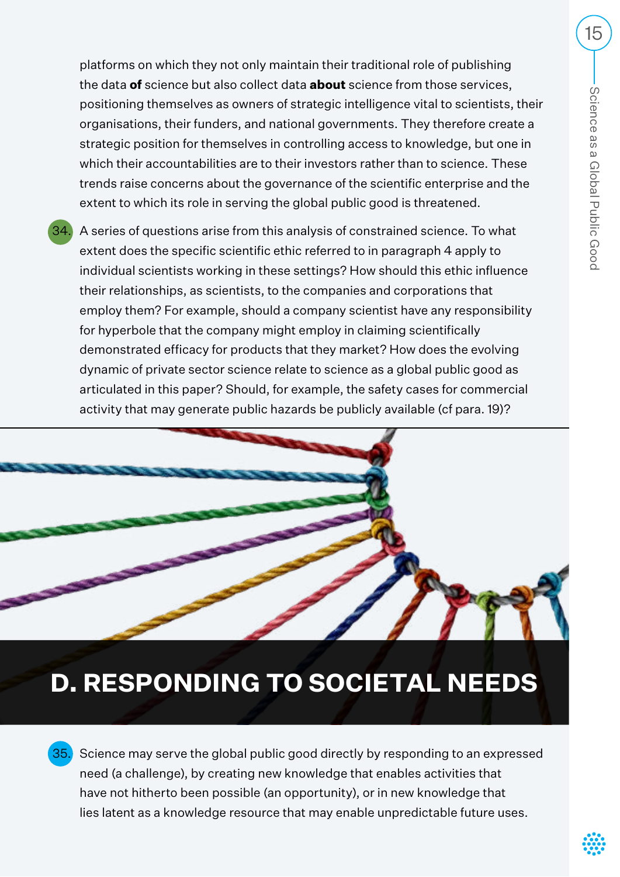platforms on which they not only maintain their traditional role of publishing the data **of** science but also collect data **about** science from those services, positioning themselves as owners of strategic intelligence vital to scientists, their organisations, their funders, and national governments. They therefore create a strategic position for themselves in controlling access to knowledge, but one in which their accountabilities are to their investors rather than to science. These trends raise concerns about the governance of the scientific enterprise and the extent to which its role in serving the global public good is threatened.

 34. A series of questions arise from this analysis of constrained science. To what extent does the specific scientific ethic referred to in paragraph 4 apply to individual scientists working in these settings? How should this ethic influence their relationships, as scientists, to the companies and corporations that employ them? For example, should a company scientist have any responsibility for hyperbole that the company might employ in claiming scientifically demonstrated efficacy for products that they market? How does the evolving dynamic of private sector science relate to science as a global public good as articulated in this paper? Should, for example, the safety cases for commercial activity that may generate public hazards be publicly available (cf para. 19)?

# **D. RESPONDING TO SOCIETAL NEEDS**

35. Science may serve the global public good directly by responding to an expressed need (a challenge), by creating new knowledge that enables activities that have not hitherto been possible (an opportunity), or in new knowledge that lies latent as a knowledge resource that may enable unpredictable future uses.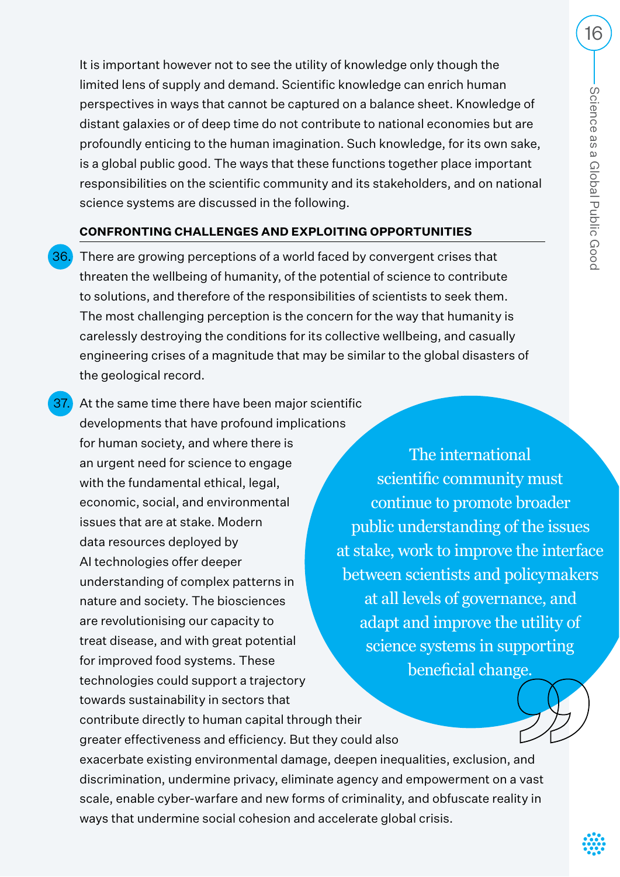It is important however not to see the utility of knowledge only though the limited lens of supply and demand. Scientific knowledge can enrich human perspectives in ways that cannot be captured on a balance sheet. Knowledge of distant galaxies or of deep time do not contribute to national economies but are profoundly enticing to the human imagination. Such knowledge, for its own sake, is a global public good. The ways that these functions together place important responsibilities on the scientific community and its stakeholders, and on national science systems are discussed in the following.

## **CONFRONTING CHALLENGES AND EXPLOITING OPPORTUNITIES**

 36. There are growing perceptions of a world faced by convergent crises that threaten the wellbeing of humanity, of the potential of science to contribute to solutions, and therefore of the responsibilities of scientists to seek them. The most challenging perception is the concern for the way that humanity is carelessly destroying the conditions for its collective wellbeing, and casually engineering crises of a magnitude that may be similar to the global disasters of the geological record.

**37.** At the same time there have been major scientific developments that have profound implications for human society, and where there is an urgent need for science to engage with the fundamental ethical, legal, economic, social, and environmental issues that are at stake. Modern data resources deployed by AI technologies offer deeper understanding of complex patterns in nature and society. The biosciences are revolutionising our capacity to treat disease, and with great potential for improved food systems. These technologies could support a trajectory towards sustainability in sectors that contribute directly to human capital through their greater effectiveness and efficiency. But they could also exacerbate existing environmental damage, deepen inequalities, exclusion, and discrimination, undermine privacy, eliminate agency and empowerment on a vast scale, enable cyber-warfare and new forms of criminality, and obfuscate reality in ways that undermine social cohesion and accelerate global crisis.

The international scientific community must continue to promote broader public understanding of the issues at stake, work to improve the interface between scientists and policymakers at all levels of governance, and adapt and improve the utility of science systems in supporting beneficial change.

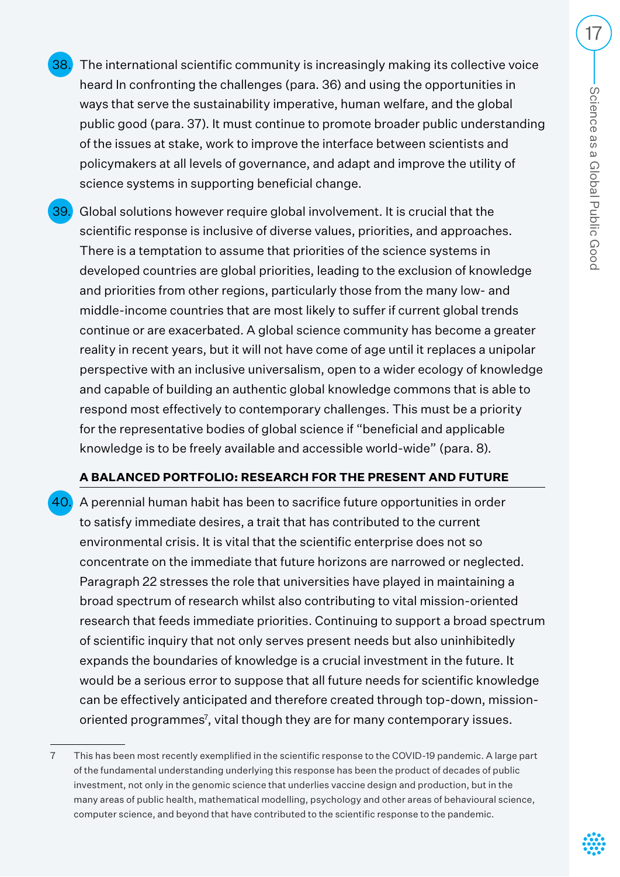- 38. The international scientific community is increasingly making its collective voice heard In confronting the challenges (para. 36) and using the opportunities in ways that serve the sustainability imperative, human welfare, and the global public good (para. 37). It must continue to promote broader public understanding of the issues at stake, work to improve the interface between scientists and policymakers at all levels of governance, and adapt and improve the utility of science systems in supporting beneficial change.
- 39. Global solutions however require global involvement. It is crucial that the scientific response is inclusive of diverse values, priorities, and approaches. There is a temptation to assume that priorities of the science systems in developed countries are global priorities, leading to the exclusion of knowledge and priorities from other regions, particularly those from the many low- and middle-income countries that are most likely to suffer if current global trends continue or are exacerbated. A global science community has become a greater reality in recent years, but it will not have come of age until it replaces a unipolar perspective with an inclusive universalism, open to a wider ecology of knowledge and capable of building an authentic global knowledge commons that is able to respond most effectively to contemporary challenges. This must be a priority for the representative bodies of global science if "beneficial and applicable knowledge is to be freely available and accessible world-wide" (para. 8).

## **A BALANCED PORTFOLIO: RESEARCH FOR THE PRESENT AND FUTURE**

40. A perennial human habit has been to sacrifice future opportunities in order to satisfy immediate desires, a trait that has contributed to the current environmental crisis. It is vital that the scientific enterprise does not so concentrate on the immediate that future horizons are narrowed or neglected. Paragraph 22 stresses the role that universities have played in maintaining a broad spectrum of research whilst also contributing to vital mission-oriented research that feeds immediate priorities. Continuing to support a broad spectrum of scientific inquiry that not only serves present needs but also uninhibitedly expands the boundaries of knowledge is a crucial investment in the future. It would be a serious error to suppose that all future needs for scientific knowledge can be effectively anticipated and therefore created through top-down, missionoriented programmes<sup>7</sup>, vital though they are for many contemporary issues.

<sup>7</sup> This has been most recently exemplified in the scientific response to the COVID-19 pandemic. A large part of the fundamental understanding underlying this response has been the product of decades of public investment, not only in the genomic science that underlies vaccine design and production, but in the many areas of public health, mathematical modelling, psychology and other areas of behavioural science, computer science, and beyond that have contributed to the scientific response to the pandemic.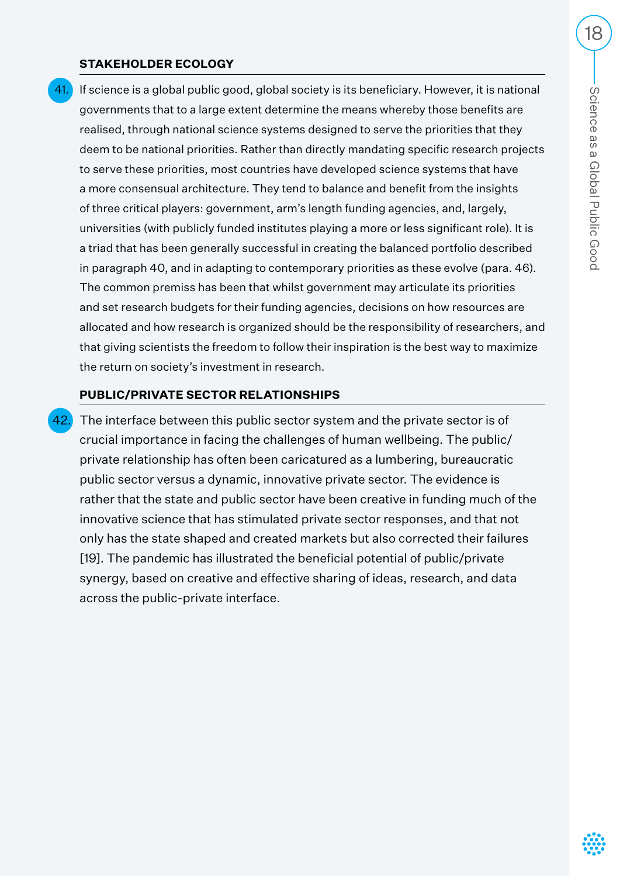#### **STAKEHOLDER ECOLOGY**

41. If science is a global public good, global society is its beneficiary. However, it is national governments that to a large extent determine the means whereby those benefits are realised, through national science systems designed to serve the priorities that they deem to be national priorities. Rather than directly mandating specific research projects to serve these priorities, most countries have developed science systems that have a more consensual architecture. They tend to balance and benefit from the insights of three critical players: government, arm's length funding agencies, and, largely, universities (with publicly funded institutes playing a more or less significant role). It is a triad that has been generally successful in creating the balanced portfolio described in paragraph 40, and in adapting to contemporary priorities as these evolve (para. 46). The common premiss has been that whilst government may articulate its priorities and set research budgets for their funding agencies, decisions on how resources are allocated and how research is organized should be the responsibility of researchers, and that giving scientists the freedom to follow their inspiration is the best way to maximize the return on society's investment in research.

#### **PUBLIC/PRIVATE SECTOR RELATIONSHIPS**

The interface between this public sector system and the private sector is of crucial importance in facing the challenges of human wellbeing. The public/ private relationship has often been caricatured as a lumbering, bureaucratic public sector versus a dynamic, innovative private sector. The evidence is rather that the state and public sector have been creative in funding much of the innovative science that has stimulated private sector responses, and that not only has the state shaped and created markets but also corrected their failures [19]. The pandemic has illustrated the beneficial potential of public/private synergy, based on creative and effective sharing of ideas, research, and data across the public-private interface.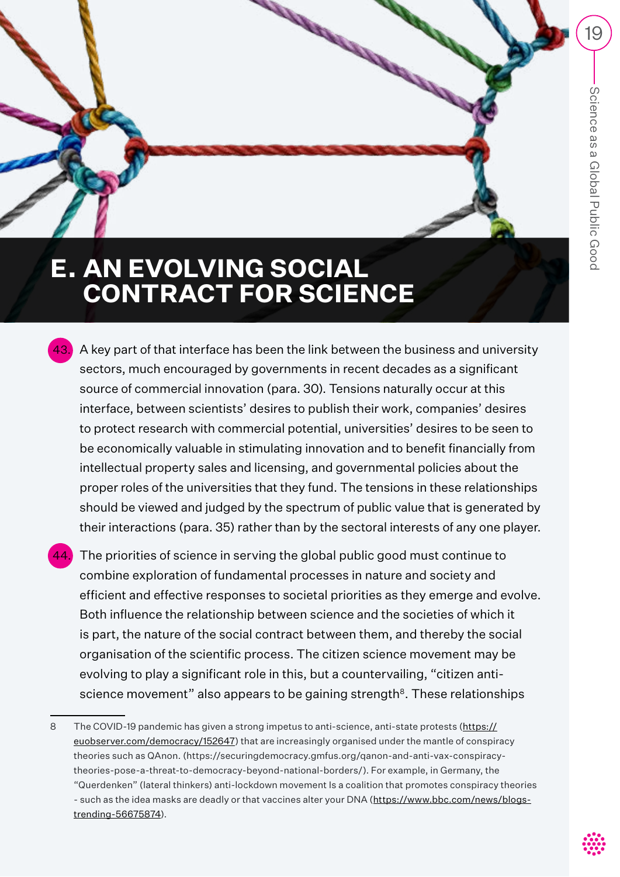# **E. AN EVOLVING SOCIAL CONTRACT FOR SCIENCE**

- A key part of that interface has been the link between the business and university sectors, much encouraged by governments in recent decades as a significant source of commercial innovation (para. 30). Tensions naturally occur at this interface, between scientists' desires to publish their work, companies' desires to protect research with commercial potential, universities' desires to be seen to be economically valuable in stimulating innovation and to benefit financially from intellectual property sales and licensing, and governmental policies about the proper roles of the universities that they fund. The tensions in these relationships should be viewed and judged by the spectrum of public value that is generated by their interactions (para. 35) rather than by the sectoral interests of any one player.
- The priorities of science in serving the global public good must continue to combine exploration of fundamental processes in nature and society and efficient and effective responses to societal priorities as they emerge and evolve. Both influence the relationship between science and the societies of which it is part, the nature of the social contract between them, and thereby the social organisation of the scientific process. The citizen science movement may be evolving to play a significant role in this, but a countervailing, "citizen antiscience movement" also appears to be gaining strength $8$ . These relationships

<sup>8</sup> The COVID-19 pandemic has given a strong impetus to anti-science, anti-state protests (https:// euobserver.com/democracy/152647) that are increasingly organised under the mantle of conspiracy theories such as QAnon. (https://securingdemocracy.gmfus.org/qanon-and-anti-vax-conspiracytheories-pose-a-threat-to-democracy-beyond-national-borders/). For example, in Germany, the "Querdenken" (lateral thinkers) anti-lockdown movement Is a coalition that promotes conspiracy theories - such as the idea masks are deadly or that vaccines alter your DNA (https://www.bbc.com/news/blogstrending-56675874).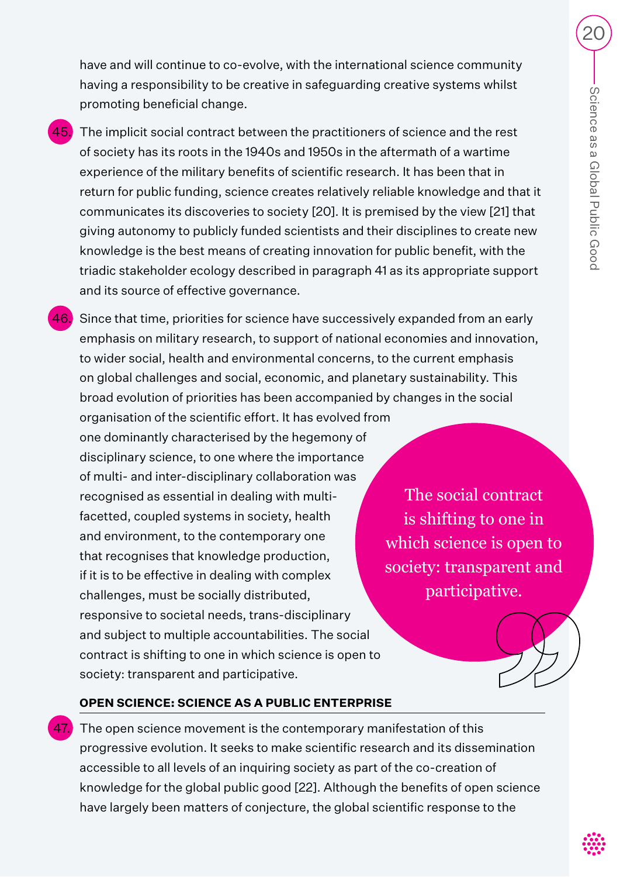have and will continue to co-evolve, with the international science community having a responsibility to be creative in safeguarding creative systems whilst promoting beneficial change.

- $\overline{{}^{45.}}\,$  The implicit social contract between the practitioners of science and the rest of society has its roots in the 1940s and 1950s in the aftermath of a wartime experience of the military benefits of scientific research. It has been that in return for public funding, science creates relatively reliable knowledge and that it communicates its discoveries to society [20]. It is premised by the view [21] that giving autonomy to publicly funded scientists and their disciplines to create new knowledge is the best means of creating innovation for public benefit, with the triadic stakeholder ecology described in paragraph 41 as its appropriate support and its source of effective governance.
- 46. Since that time, priorities for science have successively expanded from an early emphasis on military research, to support of national economies and innovation, to wider social, health and environmental concerns, to the current emphasis on global challenges and social, economic, and planetary sustainability. This broad evolution of priorities has been accompanied by changes in the social organisation of the scientific effort. It has evolved from one dominantly characterised by the hegemony of disciplinary science, to one where the importance of multi- and inter-disciplinary collaboration was recognised as essential in dealing with multifacetted, coupled systems in society, health and environment, to the contemporary one that recognises that knowledge production, if it is to be effective in dealing with complex challenges, must be socially distributed, responsive to societal needs, trans-disciplinary and subject to multiple accountabilities. The social contract is shifting to one in which science is open to society: transparent and participative. The social contract is shifting to one in which science is open to society: transparent and participative.

## **OPEN SCIENCE: SCIENCE AS A PUBLIC ENTERPRISE**

 $\blacksquare$  The open science movement is the contemporary manifestation of this progressive evolution. It seeks to make scientific research and its dissemination accessible to all levels of an inquiring society as part of the co-creation of knowledge for the global public good [22]. Although the benefits of open science have largely been matters of conjecture, the global scientific response to the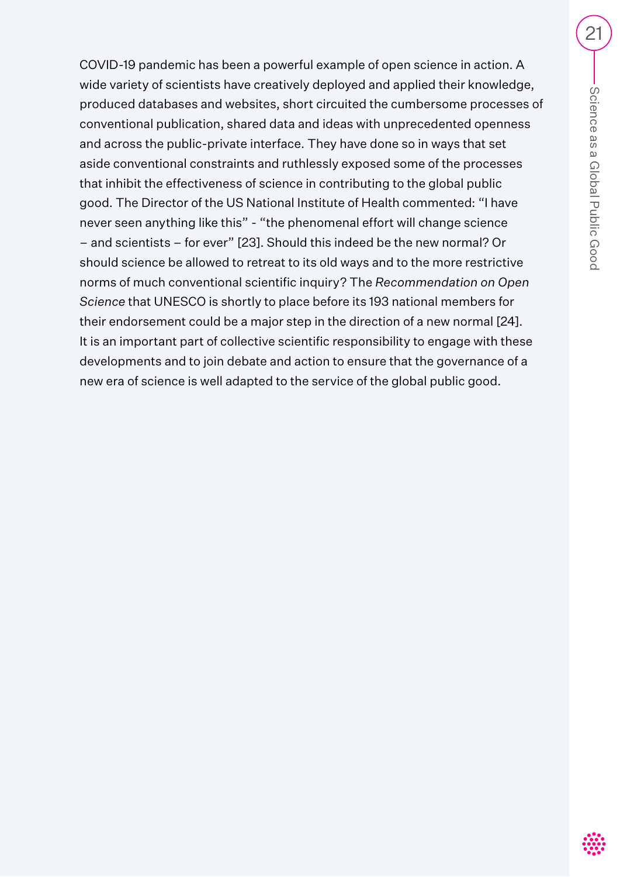COVID-19 pandemic has been a powerful example of open science in action. A wide variety of scientists have creatively deployed and applied their knowledge, produced databases and websites, short circuited the cumbersome processes of conventional publication, shared data and ideas with unprecedented openness and across the public-private interface. They have done so in ways that set aside conventional constraints and ruthlessly exposed some of the processes that inhibit the effectiveness of science in contributing to the global public good. The Director of the US National Institute of Health commented: "I have never seen anything like this" - "the phenomenal effort will change science – and scientists – for ever" [23]. Should this indeed be the new normal? Or should science be allowed to retreat to its old ways and to the more restrictive norms of much conventional scientific inquiry? The *Recommendation on Open Science* that UNESCO is shortly to place before its 193 national members for their endorsement could be a major step in the direction of a new normal [24]. It is an important part of collective scientific responsibility to engage with these developments and to join debate and action to ensure that the governance of a new era of science is well adapted to the service of the global public good.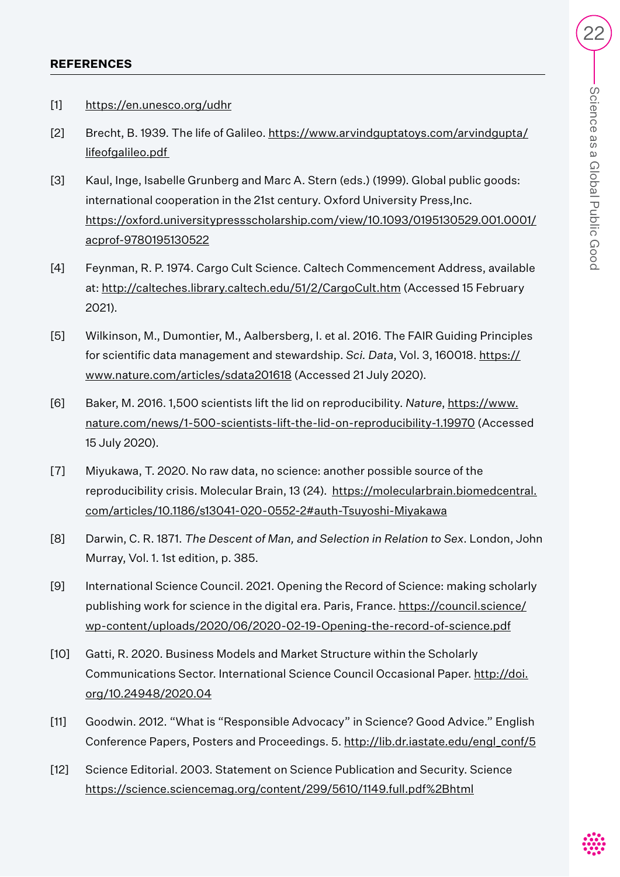#### **REFERENCES**

- [1] https://en.unesco.org/udhr
- [2] Brecht, B. 1939. The life of Galileo. https://www.arvindguptatoys.com/arvindgupta/ lifeofgalileo.pdf
- [3] Kaul, Inge, Isabelle Grunberg and Marc A. Stern (eds.) (1999). Global public goods: international cooperation in the 21st century. Oxford University Press, Inc. https://oxford.universitypressscholarship.com/view/10.1093/0195130529.001.0001/ acprof-9780195130522
- [4] Feynman, R. P. 1974. Cargo Cult Science. Caltech Commencement Address, available at: http://calteches.library.caltech.edu/51/2/CargoCult.htm (Accessed 15 February 2021).
- [5] Wilkinson, M., Dumontier, M., Aalbersberg, I. et al. 2016. The FAIR Guiding Principles for scientific data management and stewardship. *Sci. Data*, Vol. 3, 160018. https:// www.nature.com/articles/sdata201618 (Accessed 21 July 2020).
- [6] Baker, M. 2016. 1,500 scientists lift the lid on reproducibility. *Nature*, https://www. nature.com/news/1-500-scientists-lift-the-lid-on-reproducibility-1.19970 (Accessed 15 July 2020).
- [7] Miyukawa, T. 2020. No raw data, no science: another possible source of the reproducibility crisis. Molecular Brain, 13 (24). https://molecularbrain.biomedcentral. com/articles/10.1186/s13041-020-0552-2#auth-Tsuyoshi-Miyakawa
- [8] Darwin, C. R. 1871. *The Descent of Man, and Selection in Relation to Sex*. London, John Murray, Vol. 1. 1st edition, p. 385.
- [9] International Science Council. 2021. Opening the Record of Science: making scholarly publishing work for science in the digital era. Paris, France. https://council.science/ wp-content/uploads/2020/06/2020-02-19-Opening-the-record-of-science.pdf
- [10] Gatti, R. 2020. Business Models and Market Structure within the Scholarly Communications Sector. International Science Council Occasional Paper. http://doi. org/10.24948/2020.04
- [11] Goodwin. 2012. "What is "Responsible Advocacy" in Science? Good Advice." English Conference Papers, Posters and Proceedings. 5. http://lib.dr.iastate.edu/engl\_conf/5
- [12] Science Editorial. 2003. Statement on Science Publication and Security. Science https://science.sciencemag.org/content/299/5610/1149.full.pdf%2Bhtml